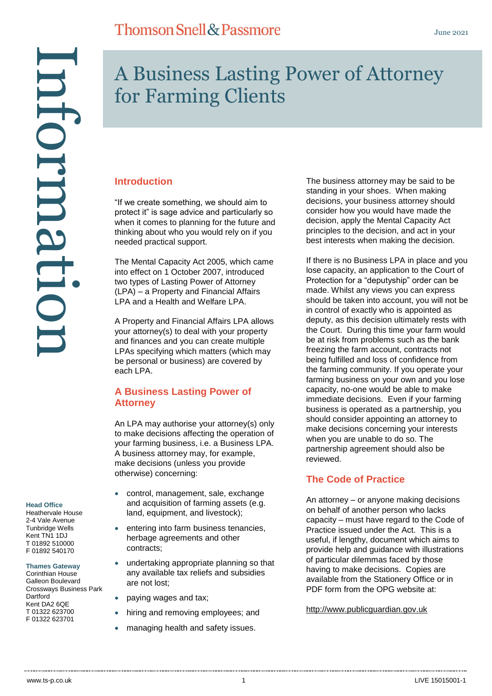# Information ntormatu

# A Business Lasting Power of Attorney for Farming Clients

# **Introduction**

"If we create something, we should aim to protect it" is sage advice and particularly so when it comes to planning for the future and thinking about who you would rely on if you needed practical support.

The Mental Capacity Act 2005, which came into effect on 1 October 2007, introduced two types of Lasting Power of Attorney (LPA) – a Property and Financial Affairs LPA and a Health and Welfare LPA.

A Property and Financial Affairs LPA allows your attorney(s) to deal with your property and finances and you can create multiple LPAs specifying which matters (which may be personal or business) are covered by each LPA.

# **A Business Lasting Power of Attorney**

An LPA may authorise your attorney(s) only to make decisions affecting the operation of your farming business, i.e. a Business LPA. A business attorney may, for example, make decisions (unless you provide otherwise) concerning:

- control, management, sale, exchange and acquisition of farming assets (e.g. land, equipment, and livestock);
- entering into farm business tenancies, herbage agreements and other contracts;
- undertaking appropriate planning so that any available tax reliefs and subsidies are not lost;
- paying wages and tax;
- hiring and removing employees; and
- managing health and safety issues.

The business attorney may be said to be standing in your shoes. When making decisions, your business attorney should consider how you would have made the decision, apply the Mental Capacity Act principles to the decision, and act in your best interests when making the decision.

If there is no Business LPA in place and you lose capacity, an application to the Court of Protection for a "deputyship" order can be made. Whilst any views you can express should be taken into account, you will not be in control of exactly who is appointed as deputy, as this decision ultimately rests with the Court. During this time your farm would be at risk from problems such as the bank freezing the farm account, contracts not being fulfilled and loss of confidence from the farming community. If you operate your farming business on your own and you lose capacity, no-one would be able to make immediate decisions. Even if your farming business is operated as a partnership, you should consider appointing an attorney to make decisions concerning your interests when you are unable to do so. The partnership agreement should also be reviewed.

## **The Code of Practice**

An attorney – or anyone making decisions on behalf of another person who lacks capacity – must have regard to the Code of Practice issued under the Act. This is a useful, if lengthy, document which aims to provide help and guidance with illustrations of particular dilemmas faced by those having to make decisions. Copies are available from the Stationery Office or in PDF form from the OPG website at:

[http://www.publicguardian.gov.uk](http://www.publicguardian.gov.uk/)

# **Head Office**

Heathervale House 2-4 Vale Avenue Tunbridge Wells Kent TN1 1DJ T 01892 510000 F 01892 540170

**Thames Gateway** Corinthian House Galleon Boulevard Crossways Business Park Dartford Kent DA<sub>2</sub> 6OF T 01322 623700

F 01322 623701